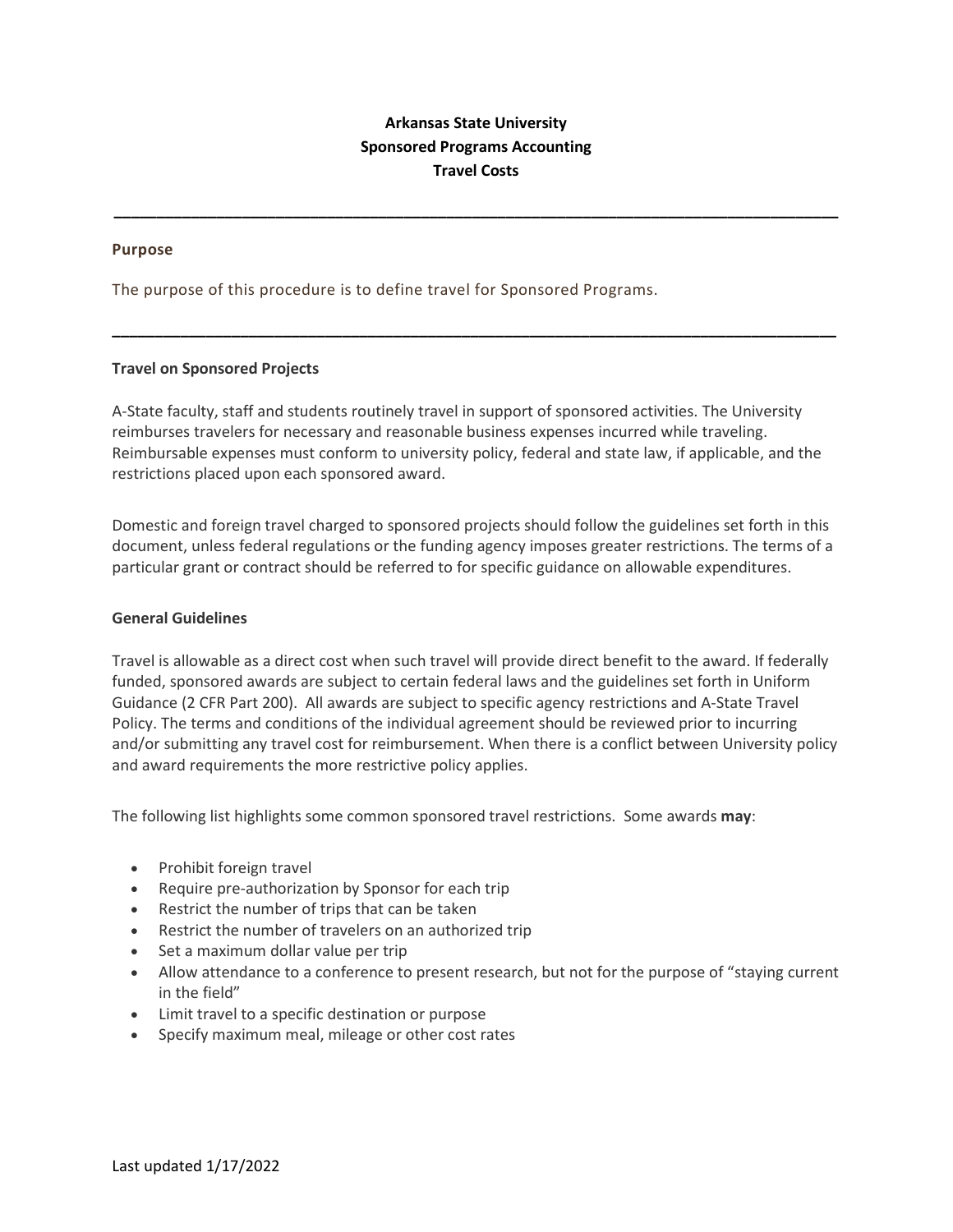# **Arkansas State University Sponsored Programs Accounting Travel Costs**

**\_\_\_\_\_\_\_\_\_\_\_\_\_\_\_\_\_\_\_\_\_\_\_\_\_\_\_\_\_\_\_\_\_\_\_\_\_\_\_\_\_\_\_\_\_\_\_\_\_\_\_\_\_\_\_\_\_\_\_\_\_\_\_\_\_\_\_\_\_\_\_\_\_\_\_\_\_\_\_\_\_\_\_\_\_**

**\_\_\_\_\_\_\_\_\_\_\_\_\_\_\_\_\_\_\_\_\_\_\_\_\_\_\_\_\_\_\_\_\_\_\_\_\_\_\_\_\_\_\_\_\_\_\_\_\_\_\_\_\_\_\_\_\_\_\_\_\_\_\_\_\_\_\_\_\_\_\_\_\_\_\_\_\_\_\_\_\_\_\_\_\_**

### **Purpose**

The purpose of this procedure is to define travel for Sponsored Programs.

### **Travel on Sponsored Projects**

A-State faculty, staff and students routinely travel in support of sponsored activities. The University reimburses travelers for necessary and reasonable business expenses incurred while traveling. Reimbursable expenses must conform to university policy, federal and state law, if applicable, and the restrictions placed upon each sponsored award.

Domestic and foreign travel charged to sponsored projects should follow the guidelines set forth in this document, unless federal regulations or the funding agency imposes greater restrictions. The terms of a particular grant or contract should be referred to for specific guidance on allowable expenditures.

# **General Guidelines**

Travel is allowable as a direct cost when such travel will provide direct benefit to the award. If federally funded, sponsored awards are subject to certain federal laws and the guidelines set forth in Uniform Guidance (2 CFR Part 200). All awards are subject to specific agency restrictions and A-State Travel Policy. The terms and conditions of the individual agreement should be reviewed prior to incurring and/or submitting any travel cost for reimbursement. When there is a conflict between University policy and award requirements the more restrictive policy applies.

The following list highlights some common sponsored travel restrictions. Some awards **may**:

- Prohibit foreign travel
- Require pre-authorization by Sponsor for each trip
- Restrict the number of trips that can be taken
- Restrict the number of travelers on an authorized trip
- Set a maximum dollar value per trip
- Allow attendance to a conference to present research, but not for the purpose of "staying current in the field"
- Limit travel to a specific destination or purpose
- Specify maximum meal, mileage or other cost rates